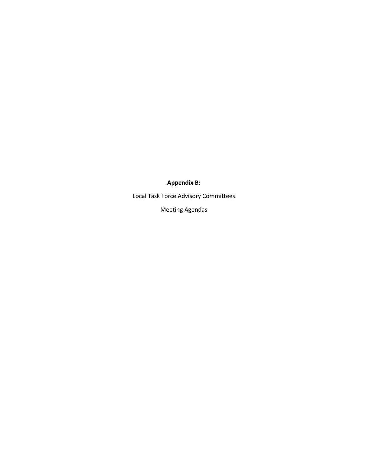## **Appendix B:**

Local Task Force Advisory Committees

Meeting Agendas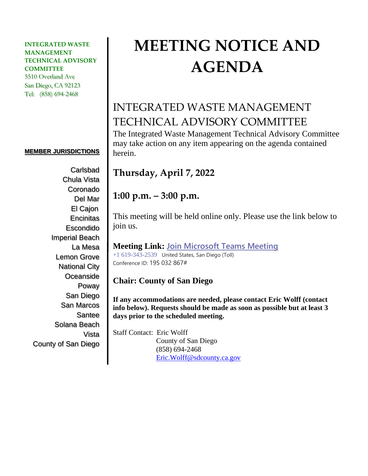## **INTEGRATED WASTE MANAGEMENT TECHNICAL ADVISORY COMMITTEE** 5510 Overland Ave San Diego, CA 92123 Tel: (858) 694-2468

#### **MEMBER JURISDICTIONS**

Carlsbad Chula Vista Coronado Del Mar El Cajon **Encinitas** Escondido Imperial Beach La Mesa Lemon Grove National City **Oceanside** Poway San Diego San Marcos Santee Solana Beach Vista County of San Diego

# **MEETING NOTICE AND AGENDA**

## INTEGRATED WASTE MANAGEMENT TECHNICAL ADVISORY COMMITTEE

The Integrated Waste Management Technical Advisory Committee may take action on any item appearing on the agenda contained herein.

## **Thursday, April 7, 2022**

## **1:00 p.m. – 3:00 p.m.**

This meeting will be held online only. Please use the link below to join us.

## **Meeting Link: [Join Microsoft Teams Meeting](https://teams.microsoft.com/l/meetup-join/19%3ameeting_YTVkOTk3YmYtNDEyOC00NWViLWE0MzAtODNhZTRhMjQ5ZTYw%40thread.v2/0?context=%7b%22Tid%22%3a%224563af13-c029-41b3-b74c-965e8eec8f96%22%2c%22Oid%22%3a%22b9a1c54b-18fe-4c1a-9a6d-09aca0226608%22%7d)** [+1 619-343-2539](tel:+1%20619-343-2539,,195032867# ) United States, San Diego (Toll) Conference ID: 195 032 867#

## **Chair: County of San Diego**

**If any accommodations are needed, please contact Eric Wolff (contact info below). Requests should be made as soon as possible but at least 3 days prior to the scheduled meeting.**

Staff Contact: Eric Wolff County of San Diego (858) 694-2468 [Eric.Wolff@sdcounty.ca.gov](mailto:Eric.Wolff@sdcounty.ca.gov)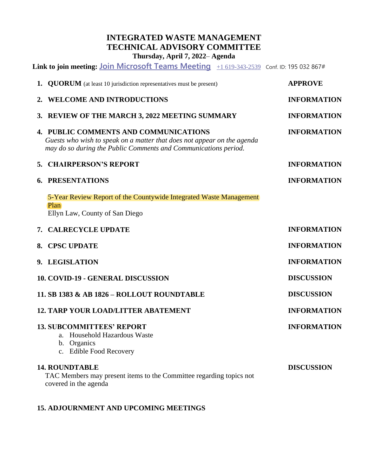## **INTEGRATED WASTE MANAGEMENT TECHNICAL ADVISORY COMMITTEE**

**Thursday, April 7, 2022**– **Agenda**

**Link to join meeting: [Join Microsoft Teams Meeting](https://teams.microsoft.com/l/meetup-join/19%3ameeting_YTVkOTk3YmYtNDEyOC00NWViLWE0MzAtODNhZTRhMjQ5ZTYw%40thread.v2/0?context=%7b%22Tid%22%3a%224563af13-c029-41b3-b74c-965e8eec8f96%22%2c%22Oid%22%3a%22b9a1c54b-18fe-4c1a-9a6d-09aca0226608%22%7d)** [+1 619-343-2539](tel:+1%20619-343-2539,,195032867# ) Conf. ID: 195 032 867#

|                                            | <b>1. QUORUM</b> (at least 10 jurisdiction representatives must be present)                                                                                                                | <b>APPROVE</b>     |
|--------------------------------------------|--------------------------------------------------------------------------------------------------------------------------------------------------------------------------------------------|--------------------|
|                                            | 2. WELCOME AND INTRODUCTIONS                                                                                                                                                               | <b>INFORMATION</b> |
|                                            | 3. REVIEW OF THE MARCH 3, 2022 MEETING SUMMARY                                                                                                                                             | <b>INFORMATION</b> |
|                                            | <b>4. PUBLIC COMMENTS AND COMMUNICATIONS</b><br>Guests who wish to speak on a matter that does not appear on the agenda<br>may do so during the Public Comments and Communications period. | <b>INFORMATION</b> |
|                                            | <b>5. CHAIRPERSON'S REPORT</b>                                                                                                                                                             | <b>INFORMATION</b> |
|                                            | <b>6. PRESENTATIONS</b>                                                                                                                                                                    | <b>INFORMATION</b> |
|                                            | 5-Year Review Report of the Countywide Integrated Waste Management<br>Plan<br>Ellyn Law, County of San Diego                                                                               |                    |
|                                            | 7. CALRECYCLE UPDATE                                                                                                                                                                       | <b>INFORMATION</b> |
|                                            | 8. CPSC UPDATE                                                                                                                                                                             | <b>INFORMATION</b> |
|                                            | 9. LEGISLATION                                                                                                                                                                             | <b>INFORMATION</b> |
|                                            | 10. COVID-19 - GENERAL DISCUSSION                                                                                                                                                          | <b>DISCUSSION</b>  |
| 11. SB 1383 & AB 1826 - ROLLOUT ROUNDTABLE |                                                                                                                                                                                            | <b>DISCUSSION</b>  |
|                                            | <b>12. TARP YOUR LOAD/LITTER ABATEMENT</b>                                                                                                                                                 | <b>INFORMATION</b> |
|                                            | <b>13. SUBCOMMITTEES' REPORT</b><br>a. Household Hazardous Waste<br>b. Organics<br>c. Edible Food Recovery                                                                                 | <b>INFORMATION</b> |
|                                            | <b>14. ROUNDTABLE</b><br>TAC Members may present items to the Committee regarding topics not<br>covered in the agenda                                                                      | <b>DISCUSSION</b>  |

## **15. ADJOURNMENT AND UPCOMING MEETINGS**